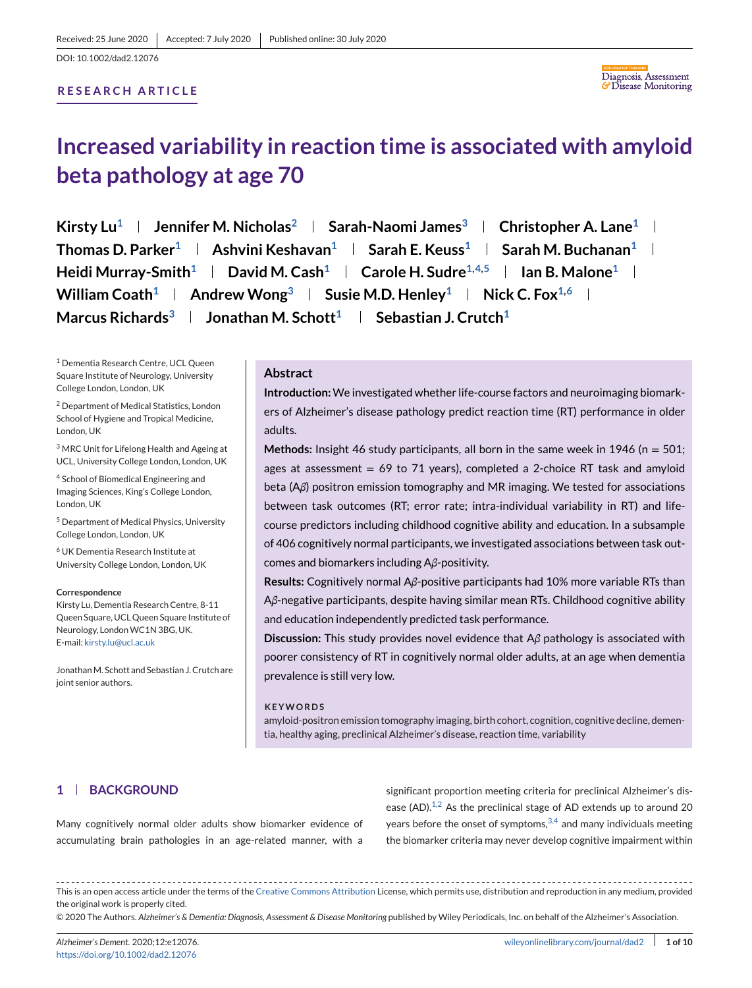DOI: 10.1002/dad2.12076

# **RESEARCH ARTICLE**



# **Increased variability in reaction time is associated with amyloid beta pathology at age 70**

**Kirsty Lu<sup>1</sup> | Jennifer M. Nicholas<sup>2</sup> | Sarah-Naomi James<sup>3</sup> | Christopher A. Lane<sup>1</sup> | Thomas D. Parker**<sup>1</sup> **Ashvini Keshavan**<sup>1</sup> **Sarah E. Keuss**<sup>1</sup> **Sarah M. Buchanan**<sup>1</sup> **I Heidi Murray-Smith**<sup>1</sup> **David M. Cash**<sup>1</sup> **Carole H. Sudre**<sup>1,4,5</sup> **I** Jan B. Malone<sup>1</sup> l **William Coath<sup>1</sup> Andrew Wong<sup>3</sup> <b>Susie M.D. Henley**<sup>1</sup> **Nick C. Fox**<sup>1,6</sup> **I Marcus Richards<sup>3</sup> | Jonathan M. Schott<sup>1</sup> | Sebastian J. Crutch<sup>1</sup>** 

<sup>1</sup> Dementia Research Centre, UCL Queen Square Institute of Neurology, University College London, London, UK

<sup>2</sup> Department of Medical Statistics, London School of Hygiene and Tropical Medicine, London, UK

<sup>3</sup> MRC Unit for Lifelong Health and Ageing at UCL, University College London, London, UK

<sup>4</sup> School of Biomedical Engineering and Imaging Sciences, King's College London, London, UK

<sup>5</sup> Department of Medical Physics, University College London, London, UK

<sup>6</sup> UK Dementia Research Institute at University College London, London, UK

#### **Correspondence**

Kirsty Lu, Dementia Research Centre, 8-11 Queen Square, UCL Queen Square Institute of Neurology, LondonWC1N 3BG, UK. E-mail: [kirsty.lu@ucl.ac.uk](mailto:kirsty.lu@ucl.ac.uk)

Jonathan M. Schott and Sebastian J. Crutch are joint senior authors.

## **Abstract**

**Introduction:**We investigated whether life-course factors and neuroimaging biomarkers of Alzheimer's disease pathology predict reaction time (RT) performance in older adults.

**Methods:** Insight 46 study participants, all born in the same week in 1946 (n = 501; ages at assessment =  $69$  to 71 years), completed a 2-choice RT task and amyloid beta (A*β*) positron emission tomography and MR imaging. We tested for associations between task outcomes (RT; error rate; intra-individual variability in RT) and lifecourse predictors including childhood cognitive ability and education. In a subsample of 406 cognitively normal participants, we investigated associations between task outcomes and biomarkers including A*β*-positivity.

**Results:** Cognitively normal A*β*-positive participants had 10% more variable RTs than A*β*-negative participants, despite having similar mean RTs. Childhood cognitive ability and education independently predicted task performance.

**Discussion:** This study provides novel evidence that A*β* pathology is associated with poorer consistency of RT in cognitively normal older adults, at an age when dementia prevalence is still very low.

### **KEYWORDS**

amyloid-positron emission tomography imaging, birth cohort, cognition, cognitive decline, dementia, healthy aging, preclinical Alzheimer's disease, reaction time, variability

# **1 BACKGROUND**

Many cognitively normal older adults show biomarker evidence of accumulating brain pathologies in an age-related manner, with a

significant proportion meeting criteria for preclinical Alzheimer's disease (AD). $1,2$  As the preclinical stage of AD extends up to around 20 years before the onset of symptoms,  $3,4$  and many individuals meeting the biomarker criteria may never develop cognitive impairment within

This is an open access article under the terms of the [Creative Commons Attribution](http://creativecommons.org/licenses/by/4.0/) License, which permits use, distribution and reproduction in any medium, provided the original work is properly cited.

© 2020 The Authors. *Alzheimer's & Dementia: Diagnosis, Assessment & Disease Monitoring* published by Wiley Periodicals, Inc. on behalf of the Alzheimer's Association.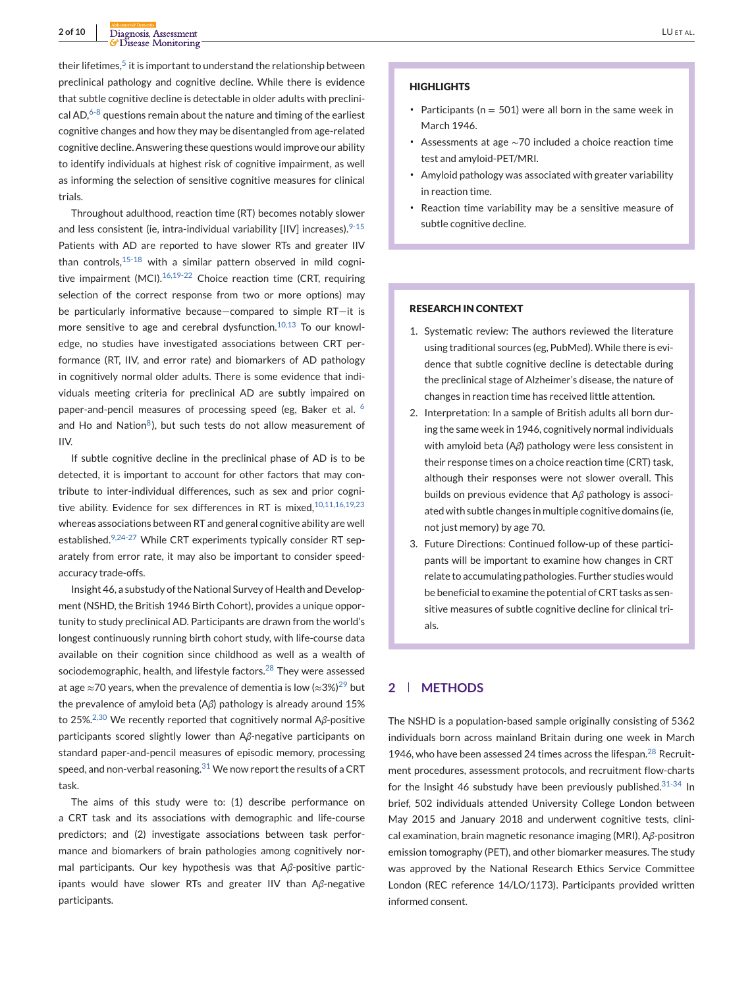their lifetimes.<sup>5</sup> it is important to understand the relationship between preclinical pathology and cognitive decline. While there is evidence that subtle cognitive decline is detectable in older adults with preclinical AD, $6-8$  questions remain about the nature and timing of the earliest cognitive changes and how they may be disentangled from age-related cognitive decline. Answering these questions would improve our ability to identify individuals at highest risk of cognitive impairment, as well as informing the selection of sensitive cognitive measures for clinical trials.

Throughout adulthood, reaction time (RT) becomes notably slower and less consistent (ie, intra-individual variability [IIV] increases).<sup>9-15</sup> Patients with AD are reported to have slower RTs and greater IIV than controls, $15-18$  with a similar pattern observed in mild cognitive impairment  $(MCl)$ .<sup>16,19-22</sup> Choice reaction time (CRT, requiring selection of the correct response from two or more options) may be particularly informative because—compared to simple RT—it is more sensitive to age and cerebral dysfunction.<sup>10,13</sup> To our knowledge, no studies have investigated associations between CRT performance (RT, IIV, and error rate) and biomarkers of AD pathology in cognitively normal older adults. There is some evidence that individuals meeting criteria for preclinical AD are subtly impaired on paper-and-pencil measures of processing speed (eg, Baker et al. <sup>6</sup> and Ho and Nation $<sup>8</sup>$ ), but such tests do not allow measurement of</sup> IIV.

If subtle cognitive decline in the preclinical phase of AD is to be detected, it is important to account for other factors that may contribute to inter-individual differences, such as sex and prior cognitive ability. Evidence for sex differences in RT is mixed,  $10,11,16,19,23$ whereas associations between RT and general cognitive ability are well established. $9,24-27$  While CRT experiments typically consider RT separately from error rate, it may also be important to consider speedaccuracy trade-offs.

Insight 46, a substudy of the National Survey of Health and Development (NSHD, the British 1946 Birth Cohort), provides a unique opportunity to study preclinical AD. Participants are drawn from the world's longest continuously running birth cohort study, with life-course data available on their cognition since childhood as well as a wealth of sociodemographic, health, and lifestyle factors.<sup>28</sup> They were assessed at age ≈70 years, when the prevalence of dementia is low (≈3%)<sup>29</sup> but the prevalence of amyloid beta (A*β*) pathology is already around 15% to 25%.2,30 We recently reported that cognitively normal A*β*-positive participants scored slightly lower than A*β*-negative participants on standard paper-and-pencil measures of episodic memory, processing speed, and non-verbal reasoning. $31$  We now report the results of a CRT task.

The aims of this study were to: (1) describe performance on a CRT task and its associations with demographic and life-course predictors; and (2) investigate associations between task performance and biomarkers of brain pathologies among cognitively normal participants. Our key hypothesis was that A*β*-positive participants would have slower RTs and greater IIV than A*β*-negative participants.

#### **HIGHLIGHTS**

- ∙ Participants (n = 501) were all born in the same week in March 1946.
- ∙ Assessments at age ∼70 included a choice reaction time test and amyloid-PET/MRI.
- ∙ Amyloid pathology was associated with greater variability in reaction time.
- ∙ Reaction time variability may be a sensitive measure of subtle cognitive decline.

#### **RESEARCH IN CONTEXT**

- 1. Systematic review: The authors reviewed the literature using traditional sources (eg, PubMed). While there is evidence that subtle cognitive decline is detectable during the preclinical stage of Alzheimer's disease, the nature of changes in reaction time has received little attention.
- 2. Interpretation: In a sample of British adults all born during the same week in 1946, cognitively normal individuals with amyloid beta (A*β*) pathology were less consistent in their response times on a choice reaction time (CRT) task, although their responses were not slower overall. This builds on previous evidence that A*β* pathology is associated with subtle changes in multiple cognitive domains (ie, not just memory) by age 70.
- 3. Future Directions: Continued follow-up of these participants will be important to examine how changes in CRT relate to accumulating pathologies. Further studies would be beneficial to examine the potential of CRT tasks as sensitive measures of subtle cognitive decline for clinical trials.

# **2 METHODS**

The NSHD is a population-based sample originally consisting of 5362 individuals born across mainland Britain during one week in March 1946, who have been assessed 24 times across the lifespan. $^{28}$  Recruitment procedures, assessment protocols, and recruitment flow-charts for the Insight 46 substudy have been previously published.  $31-34$  In brief, 502 individuals attended University College London between May 2015 and January 2018 and underwent cognitive tests, clinical examination, brain magnetic resonance imaging (MRI), A*β*-positron emission tomography (PET), and other biomarker measures. The study was approved by the National Research Ethics Service Committee London (REC reference 14/LO/1173). Participants provided written informed consent.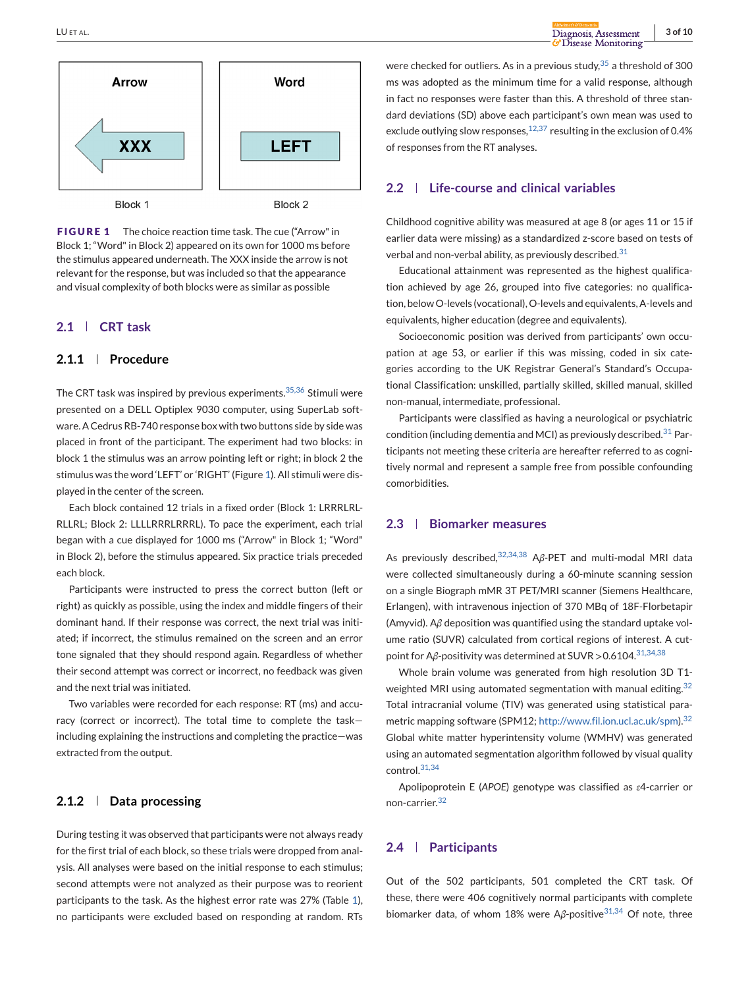<span id="page-2-0"></span>

**FIGURE 1** The choice reaction time task. The cue ("Arrow" in Block 1; "Word" in Block 2) appeared on its own for 1000 ms before the stimulus appeared underneath. The XXX inside the arrow is not relevant for the response, but was included so that the appearance and visual complexity of both blocks were as similar as possible

# **2.1 CRT task**

# **2.1.1 Procedure**

The CRT task was inspired by previous experiments.<sup>35,36</sup> Stimuli were presented on a DELL Optiplex 9030 computer, using SuperLab software. A Cedrus RB-740 response box with two buttons side by side was placed in front of the participant. The experiment had two blocks: in block 1 the stimulus was an arrow pointing left or right; in block 2 the stimulus was the word 'LEFT' or 'RIGHT' (Figure 1). All stimuli were displayed in the center of the screen.

Each block contained 12 trials in a fixed order (Block 1: LRRRLRL-RLLRL; Block 2: LLLLRRRLRRRL). To pace the experiment, each trial began with a cue displayed for 1000 ms ("Arrow" in Block 1; "Word" in Block 2), before the stimulus appeared. Six practice trials preceded each block.

Participants were instructed to press the correct button (left or right) as quickly as possible, using the index and middle fingers of their dominant hand. If their response was correct, the next trial was initiated; if incorrect, the stimulus remained on the screen and an error tone signaled that they should respond again. Regardless of whether their second attempt was correct or incorrect, no feedback was given and the next trial was initiated.

Two variables were recorded for each response: RT (ms) and accuracy (correct or incorrect). The total time to complete the task including explaining the instructions and completing the practice—was extracted from the output.

# **2.1.2 Data processing**

During testing it was observed that participants were not always ready for the first trial of each block, so these trials were dropped from analysis. All analyses were based on the initial response to each stimulus; second attempts were not analyzed as their purpose was to reorient participants to the task. As the highest error rate was 27% (Table [1\)](#page-3-0), no participants were excluded based on responding at random. RTs were checked for outliers. As in a previous study,  $35$  a threshold of 300 ms was adopted as the minimum time for a valid response, although in fact no responses were faster than this. A threshold of three standard deviations (SD) above each participant's own mean was used to exclude outlying slow responses,  $12,37$  resulting in the exclusion of 0.4% of responses from the RT analyses.

### **2.2 Life-course and clinical variables**

Childhood cognitive ability was measured at age 8 (or ages 11 or 15 if earlier data were missing) as a standardized z-score based on tests of verbal and non-verbal ability, as previously described. $31$ 

Educational attainment was represented as the highest qualification achieved by age 26, grouped into five categories: no qualification, below O-levels (vocational), O-levels and equivalents, A-levels and equivalents, higher education (degree and equivalents).

Socioeconomic position was derived from participants' own occupation at age 53, or earlier if this was missing, coded in six categories according to the UK Registrar General's Standard's Occupational Classification: unskilled, partially skilled, skilled manual, skilled non-manual, intermediate, professional.

Participants were classified as having a neurological or psychiatric condition (including dementia and MCI) as previously described.<sup>31</sup> Participants not meeting these criteria are hereafter referred to as cognitively normal and represent a sample free from possible confounding comorbidities.

# **2.3 Biomarker measures**

As previously described,<sup>32,34,38</sup> Aβ-PET and multi-modal MRI data were collected simultaneously during a 60-minute scanning session on a single Biograph mMR 3T PET/MRI scanner (Siemens Healthcare, Erlangen), with intravenous injection of 370 MBq of 18F-Florbetapir (Amyvid). A*β* deposition was quantified using the standard uptake volume ratio (SUVR) calculated from cortical regions of interest. A cutpoint for Aβ-positivity was determined at SUVR > 0.6104.<sup>31,34,38</sup>

Whole brain volume was generated from high resolution 3D T1 weighted MRI using automated segmentation with manual editing.<sup>32</sup> Total intracranial volume (TIV) was generated using statistical parametric mapping software (SPM12; [http://www.fil.ion.ucl.ac.uk/spm\)](http://www.fil.ion.ucl.ac.uk/spm).<sup>32</sup> Global white matter hyperintensity volume (WMHV) was generated using an automated segmentation algorithm followed by visual quality control.31,34

Apolipoprotein E (*APOE*) genotype was classified as *ε*4-carrier or non-carrier.<sup>32</sup>

### **2.4 Participants**

Out of the 502 participants, 501 completed the CRT task. Of these, there were 406 cognitively normal participants with complete biomarker data, of whom 18% were Aβ-positive<sup>31,34</sup> Of note, three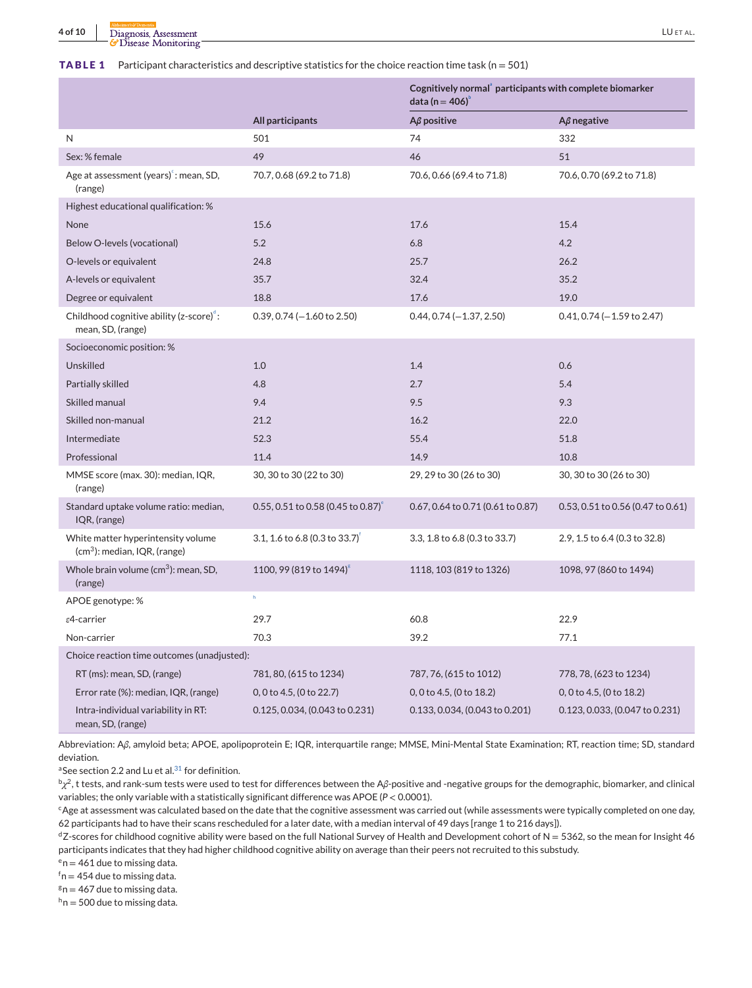<span id="page-3-0"></span>

|  |  |  | <b>TABLE 1</b> Participant characteristics and descriptive statistics for the choice reaction time task ( $n = 501$ ) |
|--|--|--|-----------------------------------------------------------------------------------------------------------------------|
|--|--|--|-----------------------------------------------------------------------------------------------------------------------|

|                                                                           |                                                  | Cognitively normal <sup>®</sup> participants with complete biomarker<br>data (n = $406$ ) |                                   |  |  |
|---------------------------------------------------------------------------|--------------------------------------------------|-------------------------------------------------------------------------------------------|-----------------------------------|--|--|
|                                                                           | All participants                                 | $A\beta$ positive                                                                         | $A\beta$ negative                 |  |  |
| N                                                                         | 501                                              | 74                                                                                        | 332                               |  |  |
| Sex: % female                                                             | 49                                               | 46                                                                                        | 51                                |  |  |
| Age at assessment (years) <sup>e</sup> : mean, SD,<br>(range)             | 70.7, 0.68 (69.2 to 71.8)                        | 70.6, 0.66 (69.4 to 71.8)                                                                 | 70.6, 0.70 (69.2 to 71.8)         |  |  |
| Highest educational qualification: %                                      |                                                  |                                                                                           |                                   |  |  |
| None                                                                      | 15.6                                             | 17.6                                                                                      | 15.4                              |  |  |
| Below O-levels (vocational)                                               | 5.2                                              | 6.8                                                                                       | 4.2                               |  |  |
| O-levels or equivalent                                                    | 24.8                                             | 25.7                                                                                      | 26.2                              |  |  |
| A-levels or equivalent                                                    | 35.7                                             | 32.4                                                                                      | 35.2                              |  |  |
| Degree or equivalent                                                      | 18.8                                             | 17.6                                                                                      | 19.0                              |  |  |
| Childhood cognitive ability (z-score) <sup>e</sup> :<br>mean, SD, (range) | $0.39, 0.74 (-1.60 to 2.50)$                     | $0.44, 0.74 (-1.37, 2.50)$                                                                | $0.41, 0.74 (-1.59$ to 2.47)      |  |  |
| Socioeconomic position: %                                                 |                                                  |                                                                                           |                                   |  |  |
| Unskilled                                                                 | 1.0                                              | 1.4                                                                                       | 0.6                               |  |  |
| Partially skilled                                                         | 4.8                                              | 2.7                                                                                       | 5.4                               |  |  |
| Skilled manual                                                            | 9.4                                              | 9.5                                                                                       | 9.3                               |  |  |
| Skilled non-manual                                                        | 21.2                                             | 16.2                                                                                      | 22.0                              |  |  |
| Intermediate                                                              | 52.3                                             | 55.4                                                                                      | 51.8                              |  |  |
| Professional                                                              | 11.4                                             | 14.9                                                                                      | 10.8                              |  |  |
| MMSE score (max. 30): median, IQR,<br>(range)                             | 30, 30 to 30 (22 to 30)                          | 29, 29 to 30 (26 to 30)                                                                   | 30, 30 to 30 (26 to 30)           |  |  |
| Standard uptake volume ratio: median,<br>IQR, (range)                     | $0.55, 0.51$ to 0.58 (0.45 to 0.87) <sup>e</sup> | 0.67, 0.64 to 0.71 (0.61 to 0.87)                                                         | 0.53, 0.51 to 0.56 (0.47 to 0.61) |  |  |
| White matter hyperintensity volume<br>$(cm3)$ : median, IQR, (range)      | 3.1, 1.6 to 6.8 (0.3 to 33.7)                    | 3.3, 1.8 to 6.8 (0.3 to 33.7)                                                             | 2.9, 1.5 to 6.4 (0.3 to 32.8)     |  |  |
| Whole brain volume $(cm3)$ : mean, SD,<br>(range)                         | 1100, 99 (819 to 1494) <sup>8</sup>              | 1118, 103 (819 to 1326)                                                                   | 1098, 97 (860 to 1494)            |  |  |
| APOE genotype: %                                                          | $\mathsf{h}$                                     |                                                                                           |                                   |  |  |
| $\epsilon$ 4-carrier                                                      | 29.7                                             | 60.8                                                                                      | 22.9                              |  |  |
| Non-carrier                                                               | 70.3                                             | 39.2                                                                                      | 77.1                              |  |  |
| Choice reaction time outcomes (unadjusted):                               |                                                  |                                                                                           |                                   |  |  |
| RT (ms): mean, SD, (range)                                                | 781, 80, (615 to 1234)                           | 787, 76, (615 to 1012)                                                                    | 778, 78, (623 to 1234)            |  |  |
| Error rate (%): median, IQR, (range)                                      | 0, 0 to 4.5, (0 to 22.7)                         | 0, 0 to 4.5, (0 to 18.2)                                                                  | 0, 0 to 4.5, (0 to 18.2)          |  |  |
| Intra-individual variability in RT:<br>mean, SD, (range)                  | 0.125, 0.034, (0.043 to 0.231)                   | 0.133, 0.034, (0.043 to 0.201)                                                            | 0.123, 0.033, (0.047 to 0.231)    |  |  |

Abbreviation: A*β*, amyloid beta; APOE, apolipoprotein E; IQR, interquartile range; MMSE, Mini-Mental State Examination; RT, reaction time; SD, standard deviation.

<sup>a</sup>See section 2.2 and Lu et al.<sup>31</sup> for definition.

b<sub>χ</sub><sup>2</sup>, t tests, and rank-sum tests were used to test for differences between the Aβ-positive and -negative groups for the demographic, biomarker, and clinical variables; the only variable with a statistically significant difference was APOE (*P* < 0.0001).

<sup>c</sup>Age at assessment was calculated based on the date that the cognitive assessment was carried out (while assessments were typically completed on one day, 62 participants had to have their scans rescheduled for a later date, with a median interval of 49 days [range 1 to 216 days]).

 $dZ$ -scores for childhood cognitive ability were based on the full National Survey of Health and Development cohort of N = 5362, so the mean for Insight 46 participants indicates that they had higher childhood cognitive ability on average than their peers not recruited to this substudy.

 $e<sub>n</sub> = 461$  due to missing data.

 $^{\mathsf{f}}$ n = 454 due to missing data.

 $n = 467$  due to missing data.

 $h_n = 500$  due to missing data.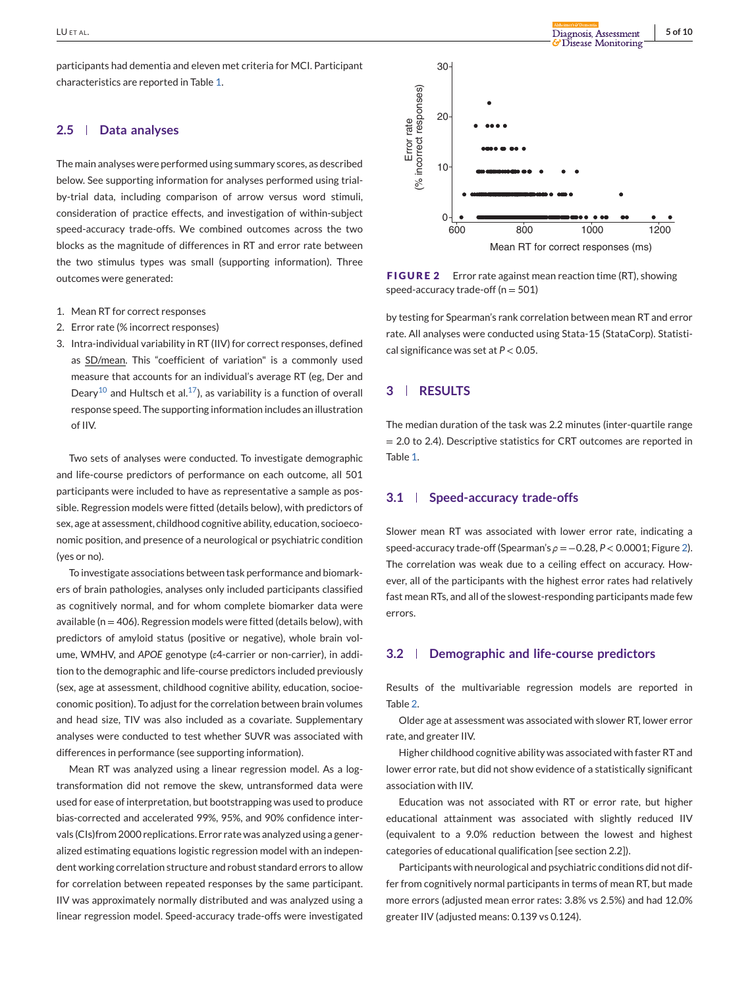participants had dementia and eleven met criteria for MCI. Participant characteristics are reported in Table [1.](#page-3-0)

### **2.5 Data analyses**

The main analyses were performed using summary scores, as described below. See supporting information for analyses performed using trialby-trial data, including comparison of arrow versus word stimuli, consideration of practice effects, and investigation of within-subject speed-accuracy trade-offs. We combined outcomes across the two blocks as the magnitude of differences in RT and error rate between the two stimulus types was small (supporting information). Three outcomes were generated:

- 1. Mean RT for correct responses
- 2. Error rate (% incorrect responses)
- 3. Intra-individual variability in RT (IIV) for correct responses, defined as SD/mean. This "coefficient of variation" is a commonly used measure that accounts for an individual's average RT (eg, Der and Deary<sup>10</sup> and Hultsch et al.<sup>17</sup>), as variability is a function of overall response speed. The supporting information includes an illustration of IIV.

Two sets of analyses were conducted. To investigate demographic and life-course predictors of performance on each outcome, all 501 participants were included to have as representative a sample as possible. Regression models were fitted (details below), with predictors of sex, age at assessment, childhood cognitive ability, education, socioeconomic position, and presence of a neurological or psychiatric condition (yes or no).

To investigate associations between task performance and biomarkers of brain pathologies, analyses only included participants classified as cognitively normal, and for whom complete biomarker data were available ( $n = 406$ ). Regression models were fitted (details below), with predictors of amyloid status (positive or negative), whole brain volume, WMHV, and *APOE* genotype (*ε*4-carrier or non-carrier), in addition to the demographic and life-course predictors included previously (sex, age at assessment, childhood cognitive ability, education, socioeconomic position). To adjust for the correlation between brain volumes and head size, TIV was also included as a covariate. Supplementary analyses were conducted to test whether SUVR was associated with differences in performance (see supporting information).

Mean RT was analyzed using a linear regression model. As a logtransformation did not remove the skew, untransformed data were used for ease of interpretation, but bootstrapping was used to produce bias-corrected and accelerated 99%, 95%, and 90% confidence intervals (CIs)from 2000 replications. Error rate was analyzed using a generalized estimating equations logistic regression model with an independent working correlation structure and robust standard errors to allow for correlation between repeated responses by the same participant. IIV was approximately normally distributed and was analyzed using a linear regression model. Speed-accuracy trade-offs were investigated



**FIGURE 2** Error rate against mean reaction time (RT), showing speed-accuracy trade-off ( $n = 501$ )

by testing for Spearman's rank correlation between mean RT and error rate. All analyses were conducted using Stata-15 (StataCorp). Statistical significance was set at *P* < 0.05.

## **3 RESULTS**

The median duration of the task was 2.2 minutes (inter-quartile range = 2.0 to 2.4). Descriptive statistics for CRT outcomes are reported in Table [1.](#page-3-0)

# **3.1 Speed-accuracy trade-offs**

Slower mean RT was associated with lower error rate, indicating a speed-accuracy trade-off (Spearman's *ρ* = −0.28, *P* < 0.0001; Figure 2). The correlation was weak due to a ceiling effect on accuracy. However, all of the participants with the highest error rates had relatively fast mean RTs, and all of the slowest-responding participants made few errors.

# **3.2 Demographic and life-course predictors**

Results of the multivariable regression models are reported in Table [2.](#page-5-0)

Older age at assessment was associated with slower RT, lower error rate, and greater IIV.

Higher childhood cognitive ability was associated with faster RT and lower error rate, but did not show evidence of a statistically significant association with IIV.

Education was not associated with RT or error rate, but higher educational attainment was associated with slightly reduced IIV (equivalent to a 9.0% reduction between the lowest and highest categories of educational qualification [see section 2.2]).

Participants with neurological and psychiatric conditions did not differ from cognitively normal participants in terms of mean RT, but made more errors (adjusted mean error rates: 3.8% vs 2.5%) and had 12.0% greater IIV (adjusted means: 0.139 vs 0.124).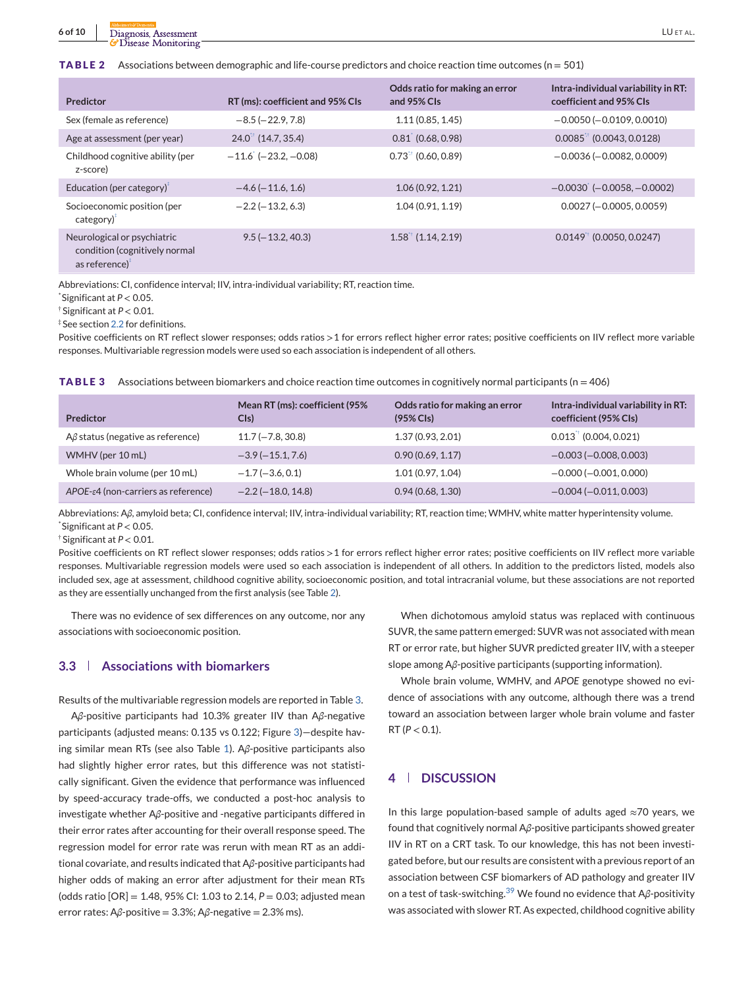<span id="page-5-0"></span>**TABLE 2** Associations between demographic and life-course predictors and choice reaction time outcomes (n = 501)

| Predictor                                                                                  | RT (ms): coefficient and 95% CIs | Odds ratio for making an error<br>and 95% Cls | Intra-individual variability in RT:<br>coefficient and 95% CIs |
|--------------------------------------------------------------------------------------------|----------------------------------|-----------------------------------------------|----------------------------------------------------------------|
| Sex (female as reference)                                                                  | $-8.5(-22.9, 7.8)$               | 1.11(0.85, 1.45)                              | $-0.0050$ ( $-0.0109, 0.0010$ )                                |
| Age at assessment (per year)                                                               | 24.0 <sup>*</sup> (14.7, 35.4)   | $0.81$ $(0.68, 0.98)$                         | $0.0085$ <sup><math>\frac{1}{3}</math></sup> (0.0043, 0.0128)  |
| Childhood cognitive ability (per<br>z-score)                                               | $-11.6$ ( $-23.2$ , $-0.08$ )    | $0.73^{+1}$ (0.60, 0.89)                      | $-0.0036(-0.0082, 0.0009)$                                     |
| Education (per category) <sup>®</sup>                                                      | $-4.6(-11.6, 1.6)$               | 1.06(0.92, 1.21)                              | $-0.0030$ ( $-0.0058$ , $-0.0002$ )                            |
| Socioeconomic position (per<br>$category)^*$                                               | $-2.2$ ( $-13.2, 6.3$ )          | 1.04(0.91, 1.19)                              | $0.0027 (-0.0005, 0.0059)$                                     |
| Neurological or psychiatric<br>condition (cognitively normal<br>as reference) <sup>®</sup> | $9.5(-13.2, 40.3)$               | $1.58^{\dagger}$ (1.14, 2.19)                 | $0.0149$ <sup><math>\dagger</math></sup> (0.0050, 0.0247)      |

Abbreviations: CI, confidence interval; IIV, intra-individual variability; RT, reaction time.

\* Significant at *P* < 0.05.

†Significant at *P* < 0.01.

‡See section [2.2](#page-2-0) for definitions.

Positive coefficients on RT reflect slower responses; odds ratios >1 for errors reflect higher error rates; positive coefficients on IIV reflect more variable responses. Multivariable regression models were used so each association is independent of all others.

**TABLE 3** Associations between biomarkers and choice reaction time outcomes in cognitively normal participants (n = 406)

| Predictor                               | Mean RT (ms): coefficient (95%<br>Cls) | Odds ratio for making an error<br>$(95\%$ Cls) | Intra-individual variability in RT:<br>coefficient (95% CIs) |
|-----------------------------------------|----------------------------------------|------------------------------------------------|--------------------------------------------------------------|
| $A\beta$ status (negative as reference) | $11.7(-7.8, 30.8)$                     | 1.37(0.93, 2.01)                               | $0.013$ <sup><math>+</math></sup> (0.004, 0.021)             |
| WMHV (per 10 mL)                        | $-3.9(-15.1, 7.6)$                     | 0.90(0.69, 1.17)                               | $-0.003(-0.008, 0.003)$                                      |
| Whole brain volume (per 10 mL)          | $-1.7(-3.6, 0.1)$                      | 1.01(0.97, 1.04)                               | $-0.000(-0.001, 0.000)$                                      |
| APOE-ε4 (non-carriers as reference)     | $-2.2$ ( $-18.0$ , 14.8)               | 0.94(0.68, 1.30)                               | $-0.004 (-0.011, 0.003)$                                     |

Abbreviations: A*β*, amyloid beta; CI, confidence interval; IIV, intra-individual variability; RT, reaction time; WMHV, white matter hyperintensity volume. \* Significant at *P* < 0.05.

†Significant at *P* < 0.01.

Positive coefficients on RT reflect slower responses; odds ratios >1 for errors reflect higher error rates; positive coefficients on IIV reflect more variable responses. Multivariable regression models were used so each association is independent of all others. In addition to the predictors listed, models also included sex, age at assessment, childhood cognitive ability, socioeconomic position, and total intracranial volume, but these associations are not reported as they are essentially unchanged from the first analysis (see Table 2).

There was no evidence of sex differences on any outcome, nor any associations with socioeconomic position.

# **3.3 Associations with biomarkers**

Results of the multivariable regression models are reported in Table 3.

A*β*-positive participants had 10.3% greater IIV than A*β*-negative participants (adjusted means: 0.135 vs 0.122; Figure [3\)](#page-6-0)—despite having similar mean RTs (see also Table [1\)](#page-3-0). A*β*-positive participants also had slightly higher error rates, but this difference was not statistically significant. Given the evidence that performance was influenced by speed-accuracy trade-offs, we conducted a post-hoc analysis to investigate whether A*β*-positive and -negative participants differed in their error rates after accounting for their overall response speed. The regression model for error rate was rerun with mean RT as an additional covariate, and results indicated that A*β*-positive participants had higher odds of making an error after adjustment for their mean RTs (odds ratio  $[OR] = 1.48, 95\%$  CI: 1.03 to 2.14,  $P = 0.03$ ; adjusted mean error rates: A*β*-positive = 3.3%; A*β*-negative = 2.3% ms).

When dichotomous amyloid status was replaced with continuous SUVR, the same pattern emerged: SUVR was not associated with mean RT or error rate, but higher SUVR predicted greater IIV, with a steeper slope among A*β*-positive participants (supporting information).

Whole brain volume, WMHV, and *APOE* genotype showed no evidence of associations with any outcome, although there was a trend toward an association between larger whole brain volume and faster RT (*P* < 0.1).

# **4 DISCUSSION**

In this large population-based sample of adults aged  $\approx$ 70 years, we found that cognitively normal A*β*-positive participants showed greater IIV in RT on a CRT task. To our knowledge, this has not been investigated before, but our results are consistent with a previous report of an association between CSF biomarkers of AD pathology and greater IIV on a test of task-switching.<sup>39</sup> We found no evidence that A*β*-positivity was associated with slower RT. As expected, childhood cognitive ability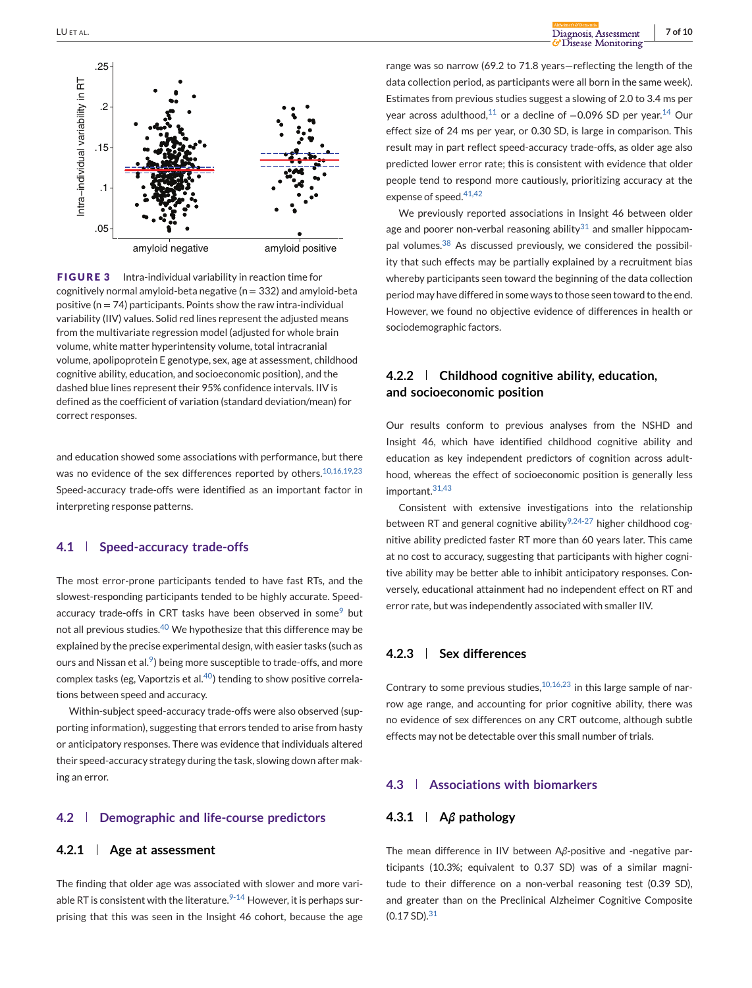<span id="page-6-0"></span>

**FIGURE 3** Intra-individual variability in reaction time for cognitively normal amyloid-beta negative ( $n = 332$ ) and amyloid-beta positive ( $n = 74$ ) participants. Points show the raw intra-individual variability (IIV) values. Solid red lines represent the adjusted means from the multivariate regression model (adjusted for whole brain volume, white matter hyperintensity volume, total intracranial volume, apolipoprotein E genotype, sex, age at assessment, childhood cognitive ability, education, and socioeconomic position), and the dashed blue lines represent their 95% confidence intervals. IIV is defined as the coefficient of variation (standard deviation/mean) for correct responses.

and education showed some associations with performance, but there was no evidence of the sex differences reported by others.<sup>10,16,19,23</sup> Speed-accuracy trade-offs were identified as an important factor in interpreting response patterns.

# **4.1 Speed-accuracy trade-offs**

The most error-prone participants tended to have fast RTs, and the slowest-responding participants tended to be highly accurate. Speedaccuracy trade-offs in CRT tasks have been observed in some<sup>9</sup> but not all previous studies.<sup>40</sup> We hypothesize that this difference may be explained by the precise experimental design, with easier tasks (such as ours and Nissan et al. $9$ ) being more susceptible to trade-offs, and more complex tasks (eg, Vaportzis et al.<sup>40</sup>) tending to show positive correlations between speed and accuracy.

Within-subject speed-accuracy trade-offs were also observed (supporting information), suggesting that errors tended to arise from hasty or anticipatory responses. There was evidence that individuals altered their speed-accuracy strategy during the task, slowing down after making an error.

# **4.2 Demographic and life-course predictors**

# **4.2.1 Age at assessment**

The finding that older age was associated with slower and more variable RT is consistent with the literature. $9-14$  However, it is perhaps surprising that this was seen in the Insight 46 cohort, because the age range was so narrow (69.2 to 71.8 years—reflecting the length of the data collection period, as participants were all born in the same week). Estimates from previous studies suggest a slowing of 2.0 to 3.4 ms per year across adulthood,<sup>11</sup> or a decline of -0.096 SD per year.<sup>14</sup> Our effect size of 24 ms per year, or 0.30 SD, is large in comparison. This result may in part reflect speed-accuracy trade-offs, as older age also predicted lower error rate; this is consistent with evidence that older people tend to respond more cautiously, prioritizing accuracy at the expense of speed.<sup>41,42</sup>

We previously reported associations in Insight 46 between older age and poorer non-verbal reasoning ability $31$  and smaller hippocampal volumes. $38$  As discussed previously, we considered the possibility that such effects may be partially explained by a recruitment bias whereby participants seen toward the beginning of the data collection period may have differed in some ways to those seen toward to the end. However, we found no objective evidence of differences in health or sociodemographic factors.

# **4.2.2 Childhood cognitive ability, education, and socioeconomic position**

Our results conform to previous analyses from the NSHD and Insight 46, which have identified childhood cognitive ability and education as key independent predictors of cognition across adulthood, whereas the effect of socioeconomic position is generally less important.31,43

Consistent with extensive investigations into the relationship between RT and general cognitive ability $9,24-27$  higher childhood cognitive ability predicted faster RT more than 60 years later. This came at no cost to accuracy, suggesting that participants with higher cognitive ability may be better able to inhibit anticipatory responses. Conversely, educational attainment had no independent effect on RT and error rate, but was independently associated with smaller IIV.

# **4.2.3 Sex differences**

Contrary to some previous studies,  $10,16,23$  in this large sample of narrow age range, and accounting for prior cognitive ability, there was no evidence of sex differences on any CRT outcome, although subtle effects may not be detectable over this small number of trials.

# **4.3 Associations with biomarkers**

# **4.3.1 A***β* **pathology**

The mean difference in IIV between A*β*-positive and -negative participants (10.3%; equivalent to 0.37 SD) was of a similar magnitude to their difference on a non-verbal reasoning test (0.39 SD), and greater than on the Preclinical Alzheimer Cognitive Composite (0.17 SD).<sup>31</sup>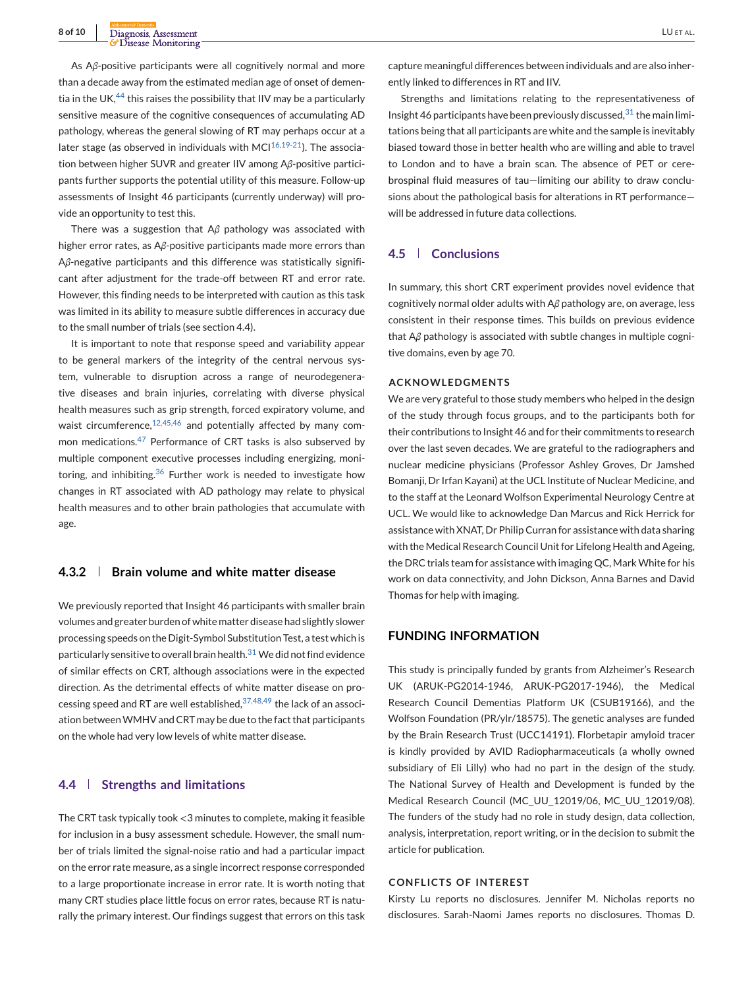As A*β*-positive participants were all cognitively normal and more than a decade away from the estimated median age of onset of dementia in the UK, $44$  this raises the possibility that IIV may be a particularly sensitive measure of the cognitive consequences of accumulating AD pathology, whereas the general slowing of RT may perhaps occur at a later stage (as observed in individuals with MC $1^{16,19-21}$ ). The association between higher SUVR and greater IIV among A*β*-positive participants further supports the potential utility of this measure. Follow-up assessments of Insight 46 participants (currently underway) will provide an opportunity to test this.

There was a suggestion that A*β* pathology was associated with higher error rates, as A*β*-positive participants made more errors than A*β*-negative participants and this difference was statistically significant after adjustment for the trade-off between RT and error rate. However, this finding needs to be interpreted with caution as this task was limited in its ability to measure subtle differences in accuracy due to the small number of trials (see section 4.4).

It is important to note that response speed and variability appear to be general markers of the integrity of the central nervous system, vulnerable to disruption across a range of neurodegenerative diseases and brain injuries, correlating with diverse physical health measures such as grip strength, forced expiratory volume, and waist circumference, $12,45,46$  and potentially affected by many common medications.<sup>47</sup> Performance of CRT tasks is also subserved by multiple component executive processes including energizing, monitoring, and inhibiting. $36$  Further work is needed to investigate how changes in RT associated with AD pathology may relate to physical health measures and to other brain pathologies that accumulate with age.

#### **4.3.2 Brain volume and white matter disease**

We previously reported that Insight 46 participants with smaller brain volumes and greater burden of white matter disease had slightly slower processing speeds on the Digit-Symbol Substitution Test, a test which is particularly sensitive to overall brain health. $31$  We did not find evidence of similar effects on CRT, although associations were in the expected direction. As the detrimental effects of white matter disease on processing speed and RT are well established,37,48,49 the lack of an association betweenWMHV and CRT may be due to the fact that participants on the whole had very low levels of white matter disease.

# **4.4 Strengths and limitations**

The CRT task typically took <3 minutes to complete, making it feasible for inclusion in a busy assessment schedule. However, the small number of trials limited the signal-noise ratio and had a particular impact on the error rate measure, as a single incorrect response corresponded to a large proportionate increase in error rate. It is worth noting that many CRT studies place little focus on error rates, because RT is naturally the primary interest. Our findings suggest that errors on this task

capture meaningful differences between individuals and are also inherently linked to differences in RT and IIV.

Strengths and limitations relating to the representativeness of Insight 46 participants have been previously discussed,  $31$  the main limitations being that all participants are white and the sample is inevitably biased toward those in better health who are willing and able to travel to London and to have a brain scan. The absence of PET or cerebrospinal fluid measures of tau—limiting our ability to draw conclusions about the pathological basis for alterations in RT performance will be addressed in future data collections.

# **4.5 Conclusions**

In summary, this short CRT experiment provides novel evidence that cognitively normal older adults with A*β* pathology are, on average, less consistent in their response times. This builds on previous evidence that A*β* pathology is associated with subtle changes in multiple cognitive domains, even by age 70.

### **ACKNOWLEDGMENTS**

We are very grateful to those study members who helped in the design of the study through focus groups, and to the participants both for their contributions to Insight 46 and for their commitments to research over the last seven decades. We are grateful to the radiographers and nuclear medicine physicians (Professor Ashley Groves, Dr Jamshed Bomanji, Dr Irfan Kayani) at the UCL Institute of Nuclear Medicine, and to the staff at the Leonard Wolfson Experimental Neurology Centre at UCL. We would like to acknowledge Dan Marcus and Rick Herrick for assistance with XNAT, Dr Philip Curran for assistance with data sharing with the Medical Research Council Unit for Lifelong Health and Ageing, the DRC trials team for assistance with imaging QC, Mark White for his work on data connectivity, and John Dickson, Anna Barnes and David Thomas for help with imaging.

# **FUNDING INFORMATION**

This study is principally funded by grants from Alzheimer's Research UK (ARUK-PG2014-1946, ARUK-PG2017-1946), the Medical Research Council Dementias Platform UK (CSUB19166), and the Wolfson Foundation (PR/ylr/18575). The genetic analyses are funded by the Brain Research Trust (UCC14191). Florbetapir amyloid tracer is kindly provided by AVID Radiopharmaceuticals (a wholly owned subsidiary of Eli Lilly) who had no part in the design of the study. The National Survey of Health and Development is funded by the Medical Research Council (MC\_UU\_12019/06, MC\_UU\_12019/08). The funders of the study had no role in study design, data collection, analysis, interpretation, report writing, or in the decision to submit the article for publication.

#### **CONFLICTS OF INTEREST**

Kirsty Lu reports no disclosures. Jennifer M. Nicholas reports no disclosures. Sarah-Naomi James reports no disclosures. Thomas D.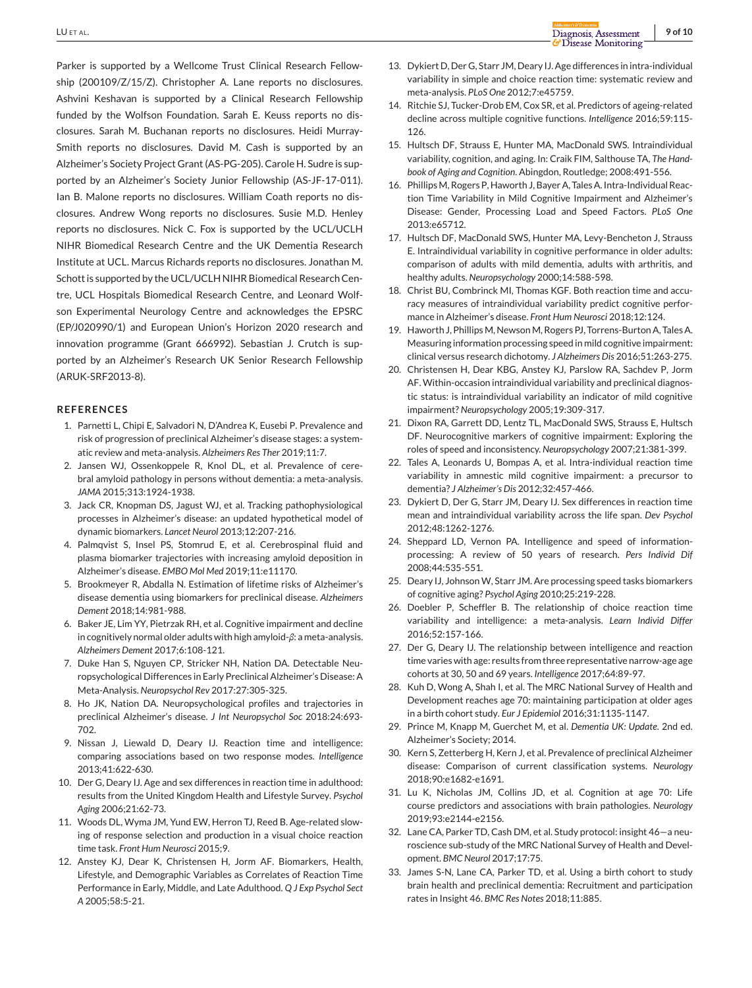Parker is supported by a Wellcome Trust Clinical Research Fellowship (200109/Z/15/Z). Christopher A. Lane reports no disclosures. Ashvini Keshavan is supported by a Clinical Research Fellowship funded by the Wolfson Foundation. Sarah E. Keuss reports no disclosures. Sarah M. Buchanan reports no disclosures. Heidi Murray-Smith reports no disclosures. David M. Cash is supported by an Alzheimer's Society Project Grant (AS-PG-205). Carole H. Sudre is supported by an Alzheimer's Society Junior Fellowship (AS-JF-17-011). Ian B. Malone reports no disclosures. William Coath reports no disclosures. Andrew Wong reports no disclosures. Susie M.D. Henley reports no disclosures. Nick C. Fox is supported by the UCL/UCLH NIHR Biomedical Research Centre and the UK Dementia Research Institute at UCL. Marcus Richards reports no disclosures. Jonathan M. Schott is supported by the UCL/UCLH NIHR Biomedical Research Centre, UCL Hospitals Biomedical Research Centre, and Leonard Wolfson Experimental Neurology Centre and acknowledges the EPSRC (EP/J020990/1) and European Union's Horizon 2020 research and innovation programme (Grant 666992). Sebastian J. Crutch is supported by an Alzheimer's Research UK Senior Research Fellowship (ARUK-SRF2013-8).

#### **REFERENCES**

- 1. Parnetti L, Chipi E, Salvadori N, D'Andrea K, Eusebi P. Prevalence and risk of progression of preclinical Alzheimer's disease stages: a systematic review and meta-analysis. *Alzheimers Res Ther* 2019;11:7.
- 2. Jansen WJ, Ossenkoppele R, Knol DL, et al. Prevalence of cerebral amyloid pathology in persons without dementia: a meta-analysis. *JAMA* 2015;313:1924-1938.
- 3. Jack CR, Knopman DS, Jagust WJ, et al. Tracking pathophysiological processes in Alzheimer's disease: an updated hypothetical model of dynamic biomarkers. *Lancet Neurol* 2013;12:207-216.
- 4. Palmqvist S, Insel PS, Stomrud E, et al. Cerebrospinal fluid and plasma biomarker trajectories with increasing amyloid deposition in Alzheimer's disease. *EMBO Mol Med* 2019;11:e11170.
- 5. Brookmeyer R, Abdalla N. Estimation of lifetime risks of Alzheimer's disease dementia using biomarkers for preclinical disease. *Alzheimers Dement* 2018;14:981-988.
- 6. Baker JE, Lim YY, Pietrzak RH, et al. Cognitive impairment and decline in cognitively normal older adults with high amyloid-*β*: a meta-analysis. *Alzheimers Dement* 2017;6:108-121.
- 7. Duke Han S, Nguyen CP, Stricker NH, Nation DA. Detectable Neuropsychological Differences in Early Preclinical Alzheimer's Disease: A Meta-Analysis. *Neuropsychol Rev* 2017:27:305-325.
- 8. Ho JK, Nation DA. Neuropsychological profiles and trajectories in preclinical Alzheimer's disease. *J Int Neuropsychol Soc* 2018:24:693- 702.
- 9. Nissan J, Liewald D, Deary IJ. Reaction time and intelligence: comparing associations based on two response modes. *Intelligence* 2013;41:622-630.
- 10. Der G, Deary IJ. Age and sex differences in reaction time in adulthood: results from the United Kingdom Health and Lifestyle Survey. *Psychol Aging* 2006;21:62-73.
- 11. Woods DL, Wyma JM, Yund EW, Herron TJ, Reed B. Age-related slowing of response selection and production in a visual choice reaction time task. *Front Hum Neurosci* 2015;9.
- 12. Anstey KJ, Dear K, Christensen H, Jorm AF. Biomarkers, Health, Lifestyle, and Demographic Variables as Correlates of Reaction Time Performance in Early, Middle, and Late Adulthood. *Q J Exp Psychol Sect A* 2005;58:5-21.
- 13. Dykiert D, Der G, Starr JM, Deary IJ. Age differences in intra-individual variability in simple and choice reaction time: systematic review and meta-analysis. *PLoS One* 2012;7:e45759.
- 14. Ritchie SJ, Tucker-Drob EM, Cox SR, et al. Predictors of ageing-related decline across multiple cognitive functions. *Intelligence* 2016;59:115- 126.
- 15. Hultsch DF, Strauss E, Hunter MA, MacDonald SWS. Intraindividual variability, cognition, and aging. In: Craik FIM, Salthouse TA, *The Handbook of Aging and Cognition*. Abingdon, Routledge; 2008:491-556.
- 16. PhillipsM, Rogers P, Haworth J, Bayer A, Tales A. Intra-Individual Reaction Time Variability in Mild Cognitive Impairment and Alzheimer's Disease: Gender, Processing Load and Speed Factors. *PLoS One* 2013:e65712.
- 17. Hultsch DF, MacDonald SWS, Hunter MA, Levy-Bencheton J, Strauss E. Intraindividual variability in cognitive performance in older adults: comparison of adults with mild dementia, adults with arthritis, and healthy adults. *Neuropsychology* 2000;14:588-598.
- 18. Christ BU, Combrinck MI, Thomas KGF. Both reaction time and accuracy measures of intraindividual variability predict cognitive performance in Alzheimer's disease. *Front Hum Neurosci* 2018;12:124.
- 19. Haworth J, Phillips M, Newson M, Rogers PJ, Torrens-Burton A, Tales A. Measuring information processing speed in mild cognitive impairment: clinical versus research dichotomy. *J Alzheimers Dis* 2016;51:263-275.
- 20. Christensen H, Dear KBG, Anstey KJ, Parslow RA, Sachdev P, Jorm AF. Within-occasion intraindividual variability and preclinical diagnostic status: is intraindividual variability an indicator of mild cognitive impairment? *Neuropsychology* 2005;19:309-317.
- 21. Dixon RA, Garrett DD, Lentz TL, MacDonald SWS, Strauss E, Hultsch DF. Neurocognitive markers of cognitive impairment: Exploring the roles of speed and inconsistency. *Neuropsychology* 2007;21:381-399.
- 22. Tales A, Leonards U, Bompas A, et al. Intra-individual reaction time variability in amnestic mild cognitive impairment: a precursor to dementia? *J Alzheimer's Dis* 2012;32:457-466.
- 23. Dykiert D, Der G, Starr JM, Deary IJ. Sex differences in reaction time mean and intraindividual variability across the life span. *Dev Psychol* 2012;48:1262-1276.
- 24. Sheppard LD, Vernon PA. Intelligence and speed of informationprocessing: A review of 50 years of research. *Pers Individ Dif* 2008;44:535-551.
- 25. Deary IJ, Johnson W, Starr JM. Are processing speed tasks biomarkers of cognitive aging? *Psychol Aging* 2010;25:219-228.
- 26. Doebler P, Scheffler B. The relationship of choice reaction time variability and intelligence: a meta-analysis. *Learn Individ Differ* 2016;52:157-166.
- 27. Der G, Deary IJ. The relationship between intelligence and reaction time varies with age: results from three representative narrow-age age cohorts at 30, 50 and 69 years. *Intelligence* 2017;64:89-97.
- 28. Kuh D, Wong A, Shah I, et al. The MRC National Survey of Health and Development reaches age 70: maintaining participation at older ages in a birth cohort study. *Eur J Epidemiol* 2016;31:1135-1147.
- 29. Prince M, Knapp M, Guerchet M, et al. *Dementia UK: Update*. 2nd ed. Alzheimer's Society; 2014.
- 30. Kern S, Zetterberg H, Kern J, et al. Prevalence of preclinical Alzheimer disease: Comparison of current classification systems. *Neurology* 2018;90:e1682-e1691.
- 31. Lu K, Nicholas JM, Collins JD, et al. Cognition at age 70: Life course predictors and associations with brain pathologies. *Neurology* 2019;93:e2144-e2156.
- 32. Lane CA, Parker TD, Cash DM, et al. Study protocol: insight 46—a neuroscience sub-study of the MRC National Survey of Health and Development. *BMC Neurol* 2017;17:75.
- 33. James S-N, Lane CA, Parker TD, et al. Using a birth cohort to study brain health and preclinical dementia: Recruitment and participation rates in Insight 46. *BMC Res Notes* 2018;11:885.